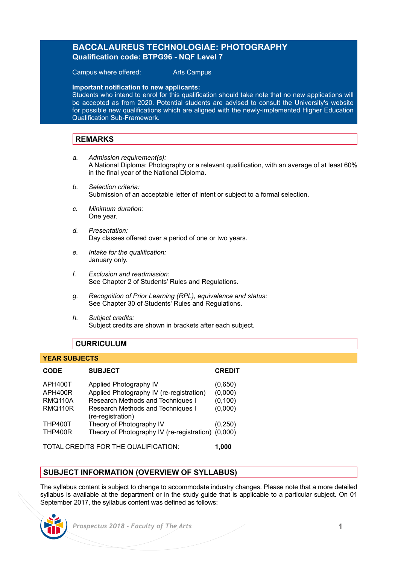# **BACCALAUREUS TECHNOLOGIAE: PHOTOGRAPHY Qualification code: BTPG96 - NQF Level 7**

Campus where offered: Arts Campus

**Important notification to new applicants:** 

Students who intend to enrol for this qualification should take note that no new applications will be accepted as from 2020. Potential students are advised to consult the University's website for possible new qualifications which are aligned with the newly-implemented Higher Education Qualification Sub-Framework.

#### **REMARKS**

- *a. Admission requirement(s):* A National Diploma: Photography or a relevant qualification, with an average of at least 60% in the final year of the National Diploma.
- *b. Selection criteria:* Submission of an acceptable letter of intent or subject to a formal selection.
- *c. Minimum duration:* One year.
- *d. Presentation:* Day classes offered over a period of one or two years.
- *e. Intake for the qualification:* January only.
- *f. Exclusion and readmission:* See Chapter 2 of Students' Rules and Regulations.
- *g. Recognition of Prior Learning (RPL), equivalence and status:* See Chapter 30 of Students' Rules and Regulations.
- *h. Subject credits:* Subject credits are shown in brackets after each subject.

#### **CURRICULUM**

#### **YEAR SUBJECTS**

| <b>CODE</b>                      | <b>SUBJECT</b>                                         | <b>CREDIT</b> |
|----------------------------------|--------------------------------------------------------|---------------|
| APH400T                          | Applied Photography IV                                 | (0,650)       |
| APH400R                          | Applied Photography IV (re-registration)               | (0,000)       |
| <b>RMQ110A</b><br><b>RMQ110R</b> | Research Methods and Techniques I                      | (0, 100)      |
|                                  | Research Methods and Techniques I<br>(re-registration) | (0,000)       |
| <b>THP400T</b>                   | Theory of Photography IV                               | (0, 250)      |
| <b>THP400R</b>                   | Theory of Photography IV (re-registration) (0,000)     |               |
| <b>TATA1</b><br>$\overline{O}$   |                                                        |               |

TOTAL CREDITS FOR THE QUALIFICATION: **1,000**

# **SUBJECT INFORMATION (OVERVIEW OF SYLLABUS)**

The syllabus content is subject to change to accommodate industry changes. Please note that a more detailed syllabus is available at the department or in the study guide that is applicable to a particular subject. On 01 September 2017, the syllabus content was defined as follows: